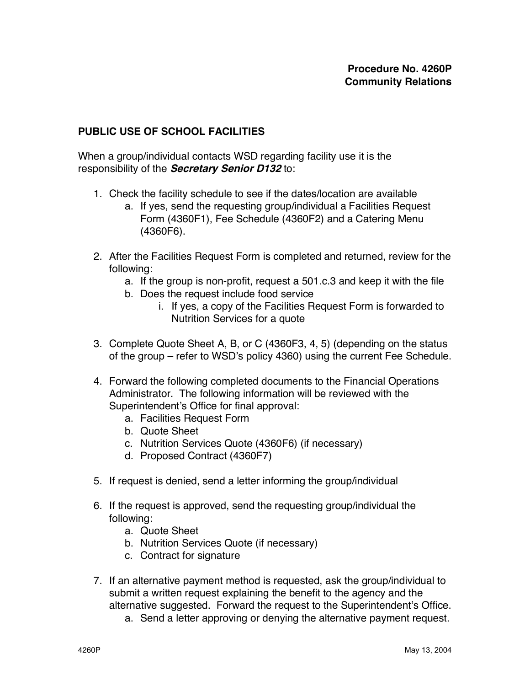## **PUBLIC USE OF SCHOOL FACILITIES**

When a group/individual contacts WSD regarding facility use it is the responsibility of the **Secretary Senior D132** to:

- 1. Check the facility schedule to see if the dates/location are available
	- a. If yes, send the requesting group/individual a Facilities Request Form (4360F1), Fee Schedule (4360F2) and a Catering Menu (4360F6).
- 2. After the Facilities Request Form is completed and returned, review for the following:
	- a. If the group is non-profit, request a 501.c.3 and keep it with the file
	- b. Does the request include food service
		- i. If yes, a copy of the Facilities Request Form is forwarded to Nutrition Services for a quote
- 3. Complete Quote Sheet A, B, or C (4360F3, 4, 5) (depending on the status of the group – refer to WSD's policy 4360) using the current Fee Schedule.
- 4. Forward the following completed documents to the Financial Operations Administrator. The following information will be reviewed with the Superintendent's Office for final approval:
	- a. Facilities Request Form
	- b. Quote Sheet
	- c. Nutrition Services Quote (4360F6) (if necessary)
	- d. Proposed Contract (4360F7)
- 5. If request is denied, send a letter informing the group/individual
- 6. If the request is approved, send the requesting group/individual the following:
	- a. Quote Sheet
	- b. Nutrition Services Quote (if necessary)
	- c. Contract for signature
- 7. If an alternative payment method is requested, ask the group/individual to submit a written request explaining the benefit to the agency and the alternative suggested. Forward the request to the Superintendent's Office.
	- a. Send a letter approving or denying the alternative payment request.